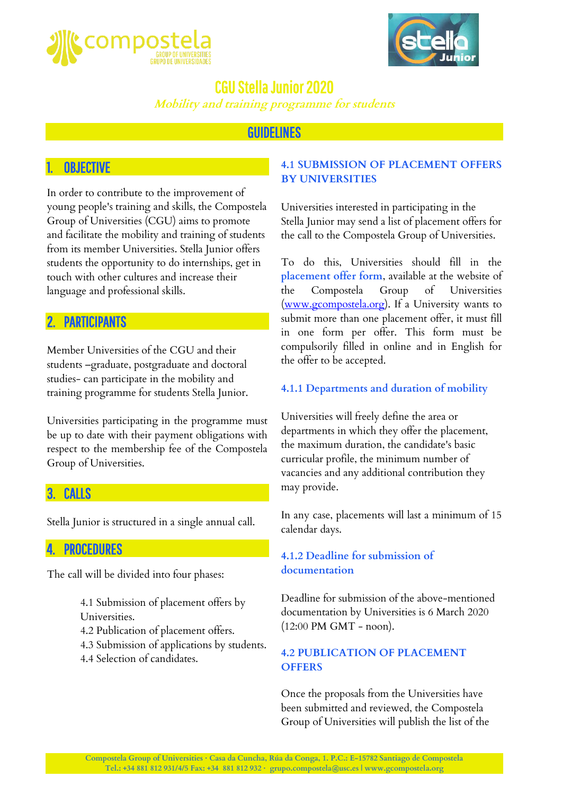



**Mobility and training programme for students**

### GUIDELINES

### **OBJECTIVE**

In order to contribute to the improvement of young people's training and skills, the Compostela Group of Universities (CGU) aims to promote and facilitate the mobility and training of students from its member Universities. Stella Junior offers students the opportunity to do internships, get in touch with other cultures and increase their language and professional skills.

### **PARTICIPANTS**

Member Universities of the CGU and their students –graduate, postgraduate and doctoral studies- can participate in the mobility and training programme for students Stella Junior.

Universities participating in the programme must be up to date with their payment obligations with respect to the membership fee of the Compostela Group of Universities.

## 3. CALLS

Stella Junior is structured in a single annual call.

### **PROCEDURES**

The call will be divided into four phases:

- 4.1 Submission of placement offers by Universities.
- 4.2 Publication of placement offers.
- 4.3 Submission of applications by students.
- 4.4 Selection of candidates.

#### **4.1 SUBMISSION OF PLACEMENT OFFERS BY UNIVERSITIES**

Universities interested in participating in the Stella Junior may send a list of placement offers for the call to the Compostela Group of Universities.

To do this, Universities should fill in the **placement offer form**, available at the website of the Compostela Group of Universities [\(www.gcompostela.org\)](http://www.gcompostela.org/). If a University wants to submit more than one placement offer, it must fill in one form per offer. This form must be compulsorily filled in online and in English for the offer to be accepted.

#### **4.1.1 Departments and duration of mobility**

Universities will freely define the area or departments in which they offer the placement, the maximum duration, the candidate's basic curricular profile, the minimum number of vacancies and any additional contribution they may provide.

In any case, placements will last a minimum of 15 calendar days.

#### **4.1.2 Deadline for submission of documentation**

Deadline for submission of the above-mentioned documentation by Universities is 6 March 2020 (12:00 PM GMT - noon).

#### **4.2 PUBLICATION OF PLACEMENT OFFERS**

Once the proposals from the Universities have been submitted and reviewed, the Compostela Group of Universities will publish the list of the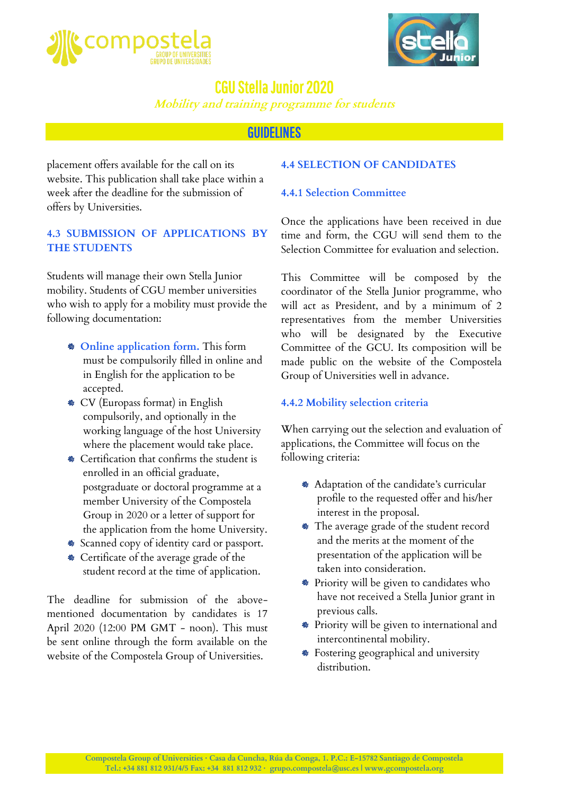



**Mobility and training programme for students**

### **GUIDELINES**

placement offers available for the call on its website. This publication shall take place within a week after the deadline for the submission of offers by Universities.

#### **4.3 SUBMISSION OF APPLICATIONS BY THE STUDENTS**

Students will manage their own Stella Junior mobility. Students of CGU member universities who wish to apply for a mobility must provide the following documentation:

- **Online application form.** This form must be compulsorily filled in online and in English for the application to be accepted.
- CV (Europass format) in English compulsorily, and optionally in the working language of the host University where the placement would take place.
- Certification that confirms the student is enrolled in an official graduate, postgraduate or doctoral programme at a member University of the Compostela Group in 2020 or a letter of support for the application from the home University.
- Scanned copy of identity card or passport.
- Certificate of the average grade of the student record at the time of application.

The deadline for submission of the abovementioned documentation by candidates is 17 April 2020 (12:00 PM GMT - noon). This must be sent online through the form available on the website of the Compostela Group of Universities.

#### **4.4 SELECTION OF CANDIDATES**

#### **4.4.1 Selection Committee**

Once the applications have been received in due time and form, the CGU will send them to the Selection Committee for evaluation and selection.

This Committee will be composed by the coordinator of the Stella Junior programme, who will act as President, and by a minimum of 2 representatives from the member Universities who will be designated by the Executive Committee of the GCU. Its composition will be made public on the website of the Compostela Group of Universities well in advance.

#### **4.4.2 Mobility selection criteria**

When carrying out the selection and evaluation of applications, the Committee will focus on the following criteria:

- Adaptation of the candidate's curricular profile to the requested offer and his/her interest in the proposal.
- The average grade of the student record and the merits at the moment of the presentation of the application will be taken into consideration.
- Priority will be given to candidates who have not received a Stella Junior grant in previous calls.
- Priority will be given to international and intercontinental mobility.
- Fostering geographical and university distribution.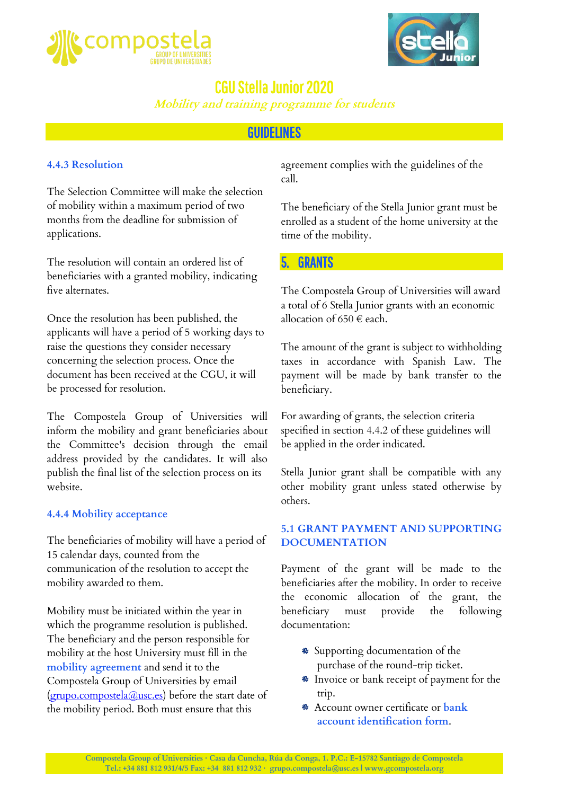



**Mobility and training programme for students**

### GUIDELINES

#### **4.4.3 Resolution**

The Selection Committee will make the selection of mobility within a maximum period of two months from the deadline for submission of applications.

The resolution will contain an ordered list of beneficiaries with a granted mobility, indicating five alternates.

Once the resolution has been published, the applicants will have a period of 5 working days to raise the questions they consider necessary concerning the selection process. Once the document has been received at the CGU, it will be processed for resolution.

The Compostela Group of Universities will inform the mobility and grant beneficiaries about the Committee's decision through the email address provided by the candidates. It will also publish the final list of the selection process on its website.

#### **4.4.4 Mobility acceptance**

The beneficiaries of mobility will have a period of 15 calendar days, counted from the communication of the resolution to accept the mobility awarded to them.

Mobility must be initiated within the year in which the programme resolution is published. The beneficiary and the person responsible for mobility at the host University must fill in the **mobility agreement** and send it to the Compostela Group of Universities by email [\(grupo.compostela@usc.es\)](mailto:grupo.compostela@usc.es) before the start date of the mobility period. Both must ensure that this

agreement complies with the guidelines of the call.

The beneficiary of the Stella Junior grant must be enrolled as a student of the home university at the time of the mobility.

#### **GRANTS**

The Compostela Group of Universities will award a total of 6 Stella Junior grants with an economic allocation of 650  $\in$  each.

The amount of the grant is subject to withholding taxes in accordance with Spanish Law. The payment will be made by bank transfer to the beneficiary.

For awarding of grants, the selection criteria specified in section 4.4.2 of these guidelines will be applied in the order indicated.

Stella Junior grant shall be compatible with any other mobility grant unless stated otherwise by others.

#### **5.1 GRANT PAYMENT AND SUPPORTING DOCUMENTATION**

Payment of the grant will be made to the beneficiaries after the mobility. In order to receive the economic allocation of the grant, the beneficiary must provide the following documentation:

- Supporting documentation of the purchase of the round-trip ticket.
- Invoice or bank receipt of payment for the trip.
- Account owner certificate or **bank account identification form**.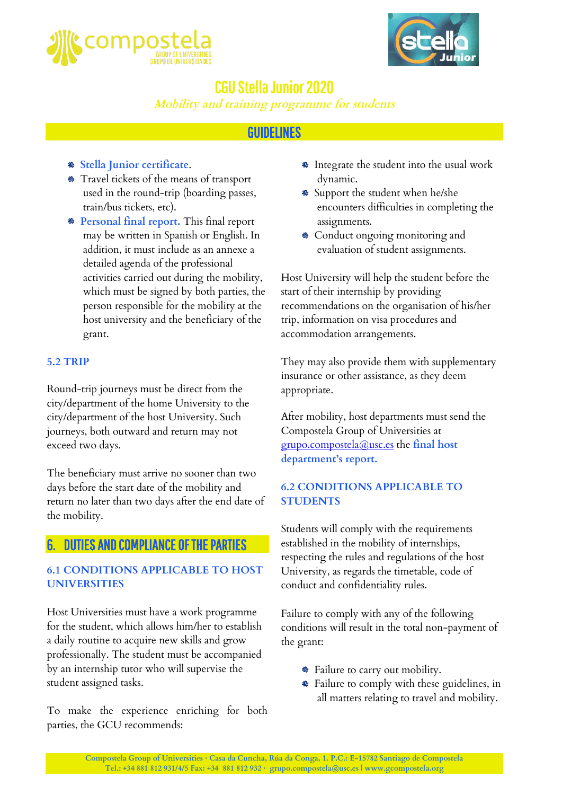



**Mobility and training programme for students**

## **GUIDELINES**

- **Stella Junior certificate**.
- Travel tickets of the means of transport used in the round-trip (boarding passes, train/bus tickets, etc).
- **Personal final report.** This final report may be written in Spanish or English. In addition, it must include as an annexe a detailed agenda of the professional activities carried out during the mobility, which must be signed by both parties, the person responsible for the mobility at the host university and the beneficiary of the grant.

#### **5.2 TRIP**

Round-trip journeys must be direct from the city/department of the home University to the city/department of the host University. Such journeys, both outward and return may not exceed two days.

The beneficiary must arrive no sooner than two days before the start date of the mobility and return no later than two days after the end date of the mobility.

### 6. DUTIES AND COMPLIANCE OF THE PARTIES

#### **6.1 CONDITIONS APPLICABLE TO HOST UNIVERSITIES**

Host Universities must have a work programme for the student, which allows him/her to establish a daily routine to acquire new skills and grow professionally. The student must be accompanied by an internship tutor who will supervise the student assigned tasks.

To make the experience enriching for both parties, the GCU recommends:

- Integrate the student into the usual work dynamic.
- Support the student when he/she encounters difficulties in completing the assignments.
- Conduct ongoing monitoring and evaluation of student assignments.

Host University will help the student before the start of their internship by providing recommendations on the organisation of his/her trip, information on visa procedures and accommodation arrangements.

They may also provide them with supplementary insurance or other assistance, as they deem appropriate.

After mobility, host departments must send the Compostela Group of Universities at grupo.compostela@usc.es the **final host department's report.**

#### **6.2 CONDITIONS APPLICABLE TO STUDENTS**

Students will comply with the requirements established in the mobility of internships, respecting the rules and regulations of the host University, as regards the timetable, code of conduct and confidentiality rules.

Failure to comply with any of the following conditions will result in the total non-payment of the grant:

- Failure to carry out mobility.
- Failure to comply with these guidelines, in all matters relating to travel and mobility.